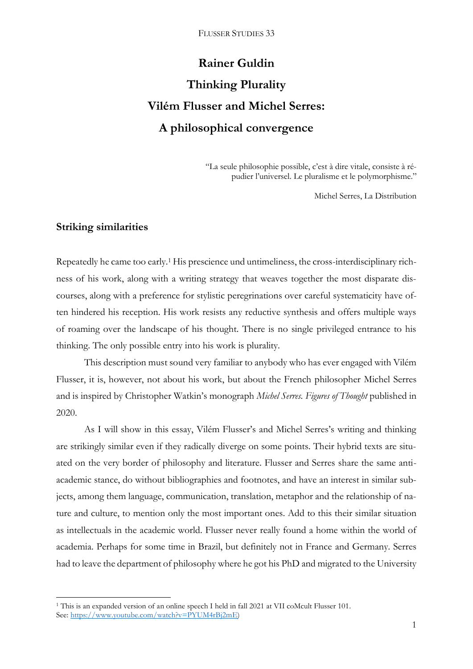# **Rainer Guldin Thinking Plurality Vilém Flusser and Michel Serres: A philosophical convergence**

"La seule philosophie possible, c'est à dire vitale, consiste à répudier l'universel. Le pluralisme et le polymorphisme."

Michel Serres, La Distribution

## **Striking similarities**

**.** 

Repeatedly he came too early.<sup>1</sup> His prescience und untimeliness, the cross-interdisciplinary richness of his work, along with a writing strategy that weaves together the most disparate discourses, along with a preference for stylistic peregrinations over careful systematicity have often hindered his reception. His work resists any reductive synthesis and offers multiple ways of roaming over the landscape of his thought. There is no single privileged entrance to his thinking. The only possible entry into his work is plurality.

This description must sound very familiar to anybody who has ever engaged with Vilém Flusser, it is, however, not about his work, but about the French philosopher Michel Serres and is inspired by Christopher Watkin's monograph *Michel Serres. Figures of Thought* published in 2020.

As I will show in this essay, Vilém Flusser's and Michel Serres's writing and thinking are strikingly similar even if they radically diverge on some points. Their hybrid texts are situated on the very border of philosophy and literature. Flusser and Serres share the same antiacademic stance, do without bibliographies and footnotes, and have an interest in similar subjects, among them language, communication, translation, metaphor and the relationship of nature and culture, to mention only the most important ones. Add to this their similar situation as intellectuals in the academic world. Flusser never really found a home within the world of academia. Perhaps for some time in Brazil, but definitely not in France and Germany. Serres had to leave the department of philosophy where he got his PhD and migrated to the University

<sup>&</sup>lt;sup>1</sup> This is an expanded version of an online speech I held in fall 2021 at VII coMcult Flusser 101. See: [https://www.youtube.com/watch?v=PYUM4rBj2mE\)](https://www.youtube.com/watch?v=PYUM4rBj2mE)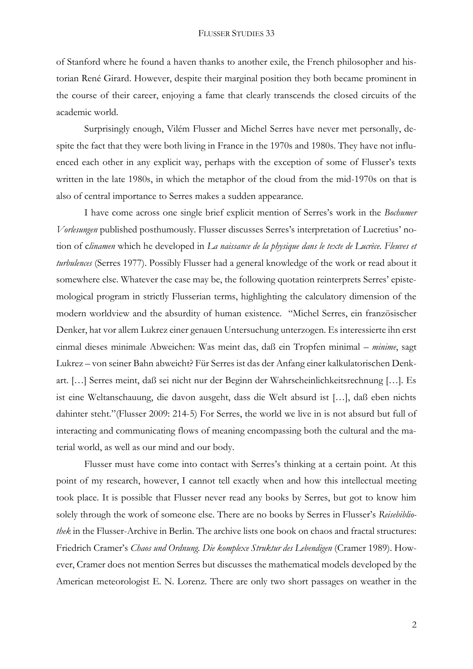of Stanford where he found a haven thanks to another exile, the French philosopher and historian René Girard. However, despite their marginal position they both became prominent in the course of their career, enjoying a fame that clearly transcends the closed circuits of the academic world.

Surprisingly enough, Vilém Flusser and Michel Serres have never met personally, despite the fact that they were both living in France in the 1970s and 1980s. They have not influenced each other in any explicit way, perhaps with the exception of some of Flusser's texts written in the late 1980s, in which the metaphor of the cloud from the mid-1970s on that is also of central importance to Serres makes a sudden appearance.

I have come across one single brief explicit mention of Serres's work in the *Bochumer Vorlesungen* published posthumously. Flusser discusses Serres's interpretation of Lucretius' notion of c*linamen* which he developed in *La naissance de la physique dans le texte de Lucrèce. Fleuves et turbulences* (Serres 1977). Possibly Flusser had a general knowledge of the work or read about it somewhere else. Whatever the case may be, the following quotation reinterprets Serres' epistemological program in strictly Flusserian terms, highlighting the calculatory dimension of the modern worldview and the absurdity of human existence. "Michel Serres, ein französischer Denker, hat vor allem Lukrez einer genauen Untersuchung unterzogen. Es interessierte ihn erst einmal dieses minimale Abweichen: Was meint das, daß ein Tropfen minimal – *minime*, sagt Lukrez – von seiner Bahn abweicht? Für Serres ist das der Anfang einer kalkulatorischen Denkart. […] Serres meint, daß sei nicht nur der Beginn der Wahrscheinlichkeitsrechnung […]. Es ist eine Weltanschauung, die davon ausgeht, dass die Welt absurd ist […], daß eben nichts dahinter steht."(Flusser 2009: 214-5) For Serres, the world we live in is not absurd but full of interacting and communicating flows of meaning encompassing both the cultural and the material world, as well as our mind and our body.

Flusser must have come into contact with Serres's thinking at a certain point. At this point of my research, however, I cannot tell exactly when and how this intellectual meeting took place. It is possible that Flusser never read any books by Serres, but got to know him solely through the work of someone else. There are no books by Serres in Flusser's *Reisebibliothek* in the Flusser-Archive in Berlin. The archive lists one book on chaos and fractal structures: Friedrich Cramer's *Chaos und Ordnung. Die komplexe Struktur des Lebendigen* (Cramer 1989). However, Cramer does not mention Serres but discusses the mathematical models developed by the American meteorologist E. N. Lorenz. There are only two short passages on weather in the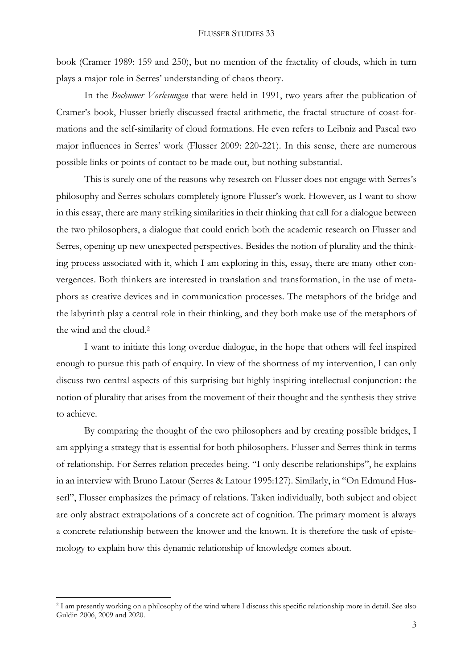book (Cramer 1989: 159 and 250), but no mention of the fractality of clouds, which in turn plays a major role in Serres' understanding of chaos theory.

In the *Bochumer Vorlesungen* that were held in 1991, two years after the publication of Cramer's book, Flusser briefly discussed fractal arithmetic, the fractal structure of coast-formations and the self-similarity of cloud formations. He even refers to Leibniz and Pascal two major influences in Serres' work (Flusser 2009: 220-221). In this sense, there are numerous possible links or points of contact to be made out, but nothing substantial.

This is surely one of the reasons why research on Flusser does not engage with Serres's philosophy and Serres scholars completely ignore Flusser's work. However, as I want to show in this essay, there are many striking similarities in their thinking that call for a dialogue between the two philosophers, a dialogue that could enrich both the academic research on Flusser and Serres, opening up new unexpected perspectives. Besides the notion of plurality and the thinking process associated with it, which I am exploring in this, essay, there are many other convergences. Both thinkers are interested in translation and transformation, in the use of metaphors as creative devices and in communication processes. The metaphors of the bridge and the labyrinth play a central role in their thinking, and they both make use of the metaphors of the wind and the cloud.<sup>2</sup>

I want to initiate this long overdue dialogue, in the hope that others will feel inspired enough to pursue this path of enquiry. In view of the shortness of my intervention, I can only discuss two central aspects of this surprising but highly inspiring intellectual conjunction: the notion of plurality that arises from the movement of their thought and the synthesis they strive to achieve.

By comparing the thought of the two philosophers and by creating possible bridges, I am applying a strategy that is essential for both philosophers. Flusser and Serres think in terms of relationship. For Serres relation precedes being. "I only describe relationships", he explains in an interview with Bruno Latour (Serres & Latour 1995:127). Similarly, in "On Edmund Husserl", Flusser emphasizes the primacy of relations. Taken individually, both subject and object are only abstract extrapolations of a concrete act of cognition. The primary moment is always a concrete relationship between the knower and the known. It is therefore the task of epistemology to explain how this dynamic relationship of knowledge comes about.

**.** 

<sup>2</sup> I am presently working on a philosophy of the wind where I discuss this specific relationship more in detail. See also Guldin 2006, 2009 and 2020.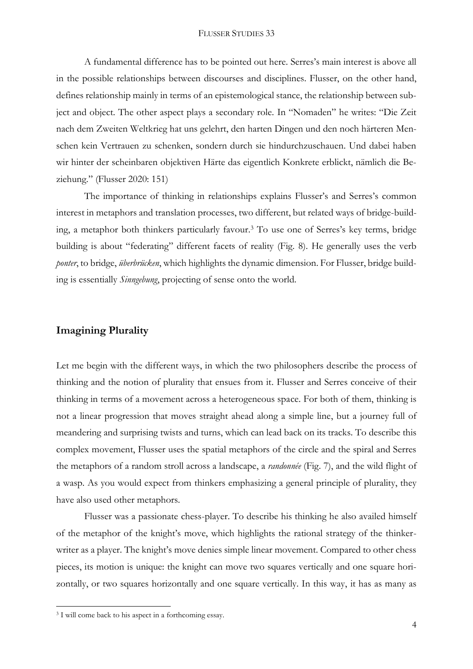A fundamental difference has to be pointed out here. Serres's main interest is above all in the possible relationships between discourses and disciplines. Flusser, on the other hand, defines relationship mainly in terms of an epistemological stance, the relationship between subject and object. The other aspect plays a secondary role. In "Nomaden" he writes: "Die Zeit nach dem Zweiten Weltkrieg hat uns gelehrt, den harten Dingen und den noch härteren Menschen kein Vertrauen zu schenken, sondern durch sie hindurchzuschauen. Und dabei haben wir hinter der scheinbaren objektiven Härte das eigentlich Konkrete erblickt, nämlich die Beziehung." (Flusser 2020: 151)

The importance of thinking in relationships explains Flusser's and Serres's common interest in metaphors and translation processes, two different, but related ways of bridge-building, a metaphor both thinkers particularly favour.<sup>3</sup> To use one of Serres's key terms, bridge building is about "federating" different facets of reality (Fig. 8). He generally uses the verb *ponter*, to bridge, *überbrücken*, which highlights the dynamic dimension. For Flusser, bridge building is essentially *Sinngebung*, projecting of sense onto the world.

## **Imagining Plurality**

Let me begin with the different ways, in which the two philosophers describe the process of thinking and the notion of plurality that ensues from it. Flusser and Serres conceive of their thinking in terms of a movement across a heterogeneous space. For both of them, thinking is not a linear progression that moves straight ahead along a simple line, but a journey full of meandering and surprising twists and turns, which can lead back on its tracks. To describe this complex movement, Flusser uses the spatial metaphors of the circle and the spiral and Serres the metaphors of a random stroll across a landscape, a *randonnée* (Fig. 7), and the wild flight of a wasp. As you would expect from thinkers emphasizing a general principle of plurality, they have also used other metaphors.

Flusser was a passionate chess-player. To describe his thinking he also availed himself of the metaphor of the knight's move, which highlights the rational strategy of the thinkerwriter as a player. The knight's move denies simple linear movement. Compared to other chess pieces, its motion is unique: the knight can move two squares vertically and one square horizontally, or two squares horizontally and one square vertically. In this way, it has as many as

1

<sup>&</sup>lt;sup>3</sup> I will come back to his aspect in a forthcoming essay.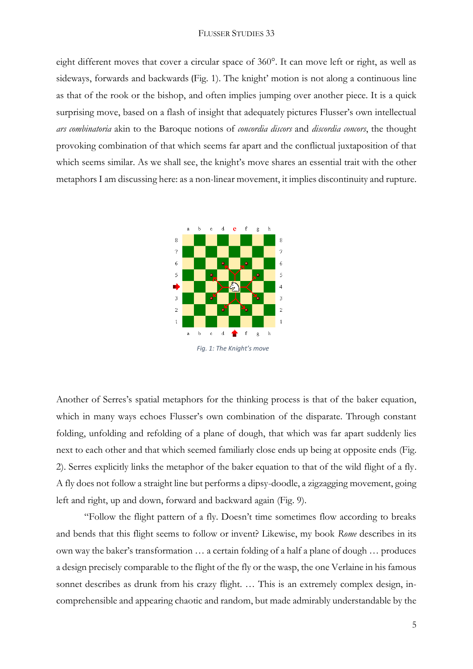eight different moves that cover a circular space of 360°. It can move left or right, as well as sideways, forwards and backwards (Fig. 1). The knight' motion is not along a continuous line as that of the rook or the bishop, and often implies jumping over another piece. It is a quick surprising move, based on a flash of insight that adequately pictures Flusser's own intellectual *ars combinatoria* akin to the Baroque notions of *concordia discors* and *discordia concors*, the thought provoking combination of that which seems far apart and the conflictual juxtaposition of that which seems similar. As we shall see, the knight's move shares an essential trait with the other metaphors I am discussing here: as a non-linear movement, it implies discontinuity and rupture.



Another of Serres's spatial metaphors for the thinking process is that of the baker equation, which in many ways echoes Flusser's own combination of the disparate. Through constant folding, unfolding and refolding of a plane of dough, that which was far apart suddenly lies next to each other and that which seemed familiarly close ends up being at opposite ends (Fig. 2). Serres explicitly links the metaphor of the baker equation to that of the wild flight of a fly. A fly does not follow a straight line but performs a dipsy-doodle, a zigzagging movement, going left and right, up and down, forward and backward again (Fig. 9).

"Follow the flight pattern of a fly. Doesn't time sometimes flow according to breaks and bends that this flight seems to follow or invent? Likewise, my book *Rome* describes in its own way the baker's transformation … a certain folding of a half a plane of dough … produces a design precisely comparable to the flight of the fly or the wasp, the one Verlaine in his famous sonnet describes as drunk from his crazy flight. ... This is an extremely complex design, incomprehensible and appearing chaotic and random, but made admirably understandable by the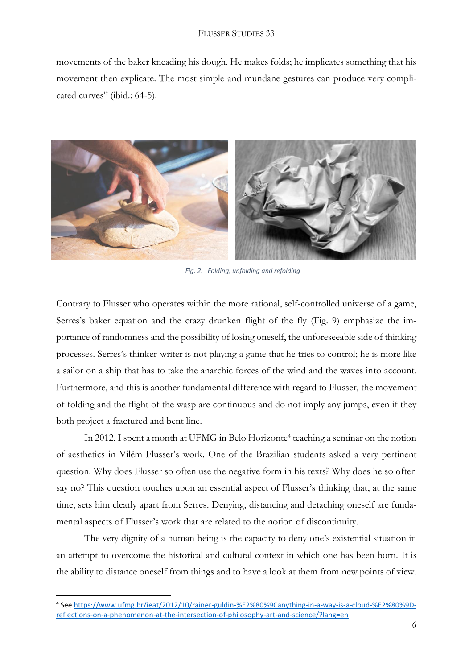movements of the baker kneading his dough. He makes folds; he implicates something that his movement then explicate. The most simple and mundane gestures can produce very complicated curves" (ibid.: 64-5).



 *Fig. 2: Folding, unfolding and refolding*

Contrary to Flusser who operates within the more rational, self-controlled universe of a game, Serres's baker equation and the crazy drunken flight of the fly (Fig. 9) emphasize the importance of randomness and the possibility of losing oneself, the unforeseeable side of thinking processes. Serres's thinker-writer is not playing a game that he tries to control; he is more like a sailor on a ship that has to take the anarchic forces of the wind and the waves into account. Furthermore, and this is another fundamental difference with regard to Flusser, the movement of folding and the flight of the wasp are continuous and do not imply any jumps, even if they both project a fractured and bent line.

In 2012, I spent a month at UFMG in Belo Horizonte<sup>4</sup> teaching a seminar on the notion of aesthetics in Vilém Flusser's work. One of the Brazilian students asked a very pertinent question. Why does Flusser so often use the negative form in his texts? Why does he so often say no? This question touches upon an essential aspect of Flusser's thinking that, at the same time, sets him clearly apart from Serres. Denying, distancing and detaching oneself are fundamental aspects of Flusser's work that are related to the notion of discontinuity.

The very dignity of a human being is the capacity to deny one's existential situation in an attempt to overcome the historical and cultural context in which one has been born. It is the ability to distance oneself from things and to have a look at them from new points of view.

**.** 

<sup>4</sup> See [https://www.ufmg.br/ieat/2012/10/rainer-guldin-%E2%80%9Canything-in-a-way-is-a-cloud-%E2%80%9D](https://www.ufmg.br/ieat/2012/10/rainer-guldin-%E2%80%9Canything-in-a-way-is-a-cloud-%E2%80%9D-reflections-on-a-phenomenon-at-the-intersection-of-philosophy-art-and-science/?lang=en)[reflections-on-a-phenomenon-at-the-intersection-of-philosophy-art-and-science/?lang=en](https://www.ufmg.br/ieat/2012/10/rainer-guldin-%E2%80%9Canything-in-a-way-is-a-cloud-%E2%80%9D-reflections-on-a-phenomenon-at-the-intersection-of-philosophy-art-and-science/?lang=en)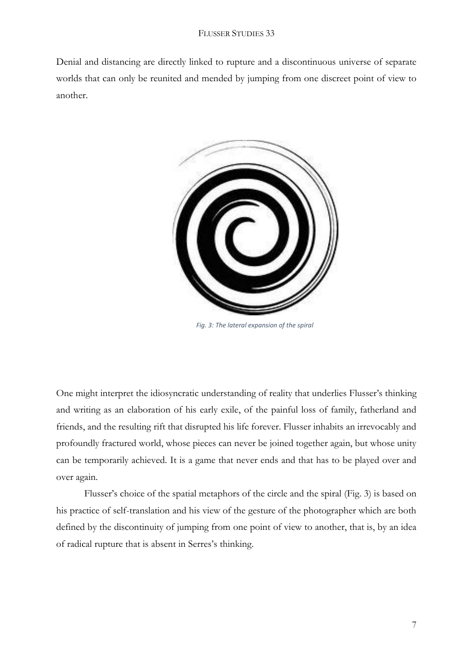Denial and distancing are directly linked to rupture and a discontinuous universe of separate worlds that can only be reunited and mended by jumping from one discreet point of view to another.



 *Fig. 3: The lateral expansion of the spiral*

One might interpret the idiosyncratic understanding of reality that underlies Flusser's thinking and writing as an elaboration of his early exile, of the painful loss of family, fatherland and friends, and the resulting rift that disrupted his life forever. Flusser inhabits an irrevocably and profoundly fractured world, whose pieces can never be joined together again, but whose unity can be temporarily achieved. It is a game that never ends and that has to be played over and over again.

Flusser's choice of the spatial metaphors of the circle and the spiral (Fig. 3) is based on his practice of self-translation and his view of the gesture of the photographer which are both defined by the discontinuity of jumping from one point of view to another, that is, by an idea of radical rupture that is absent in Serres's thinking.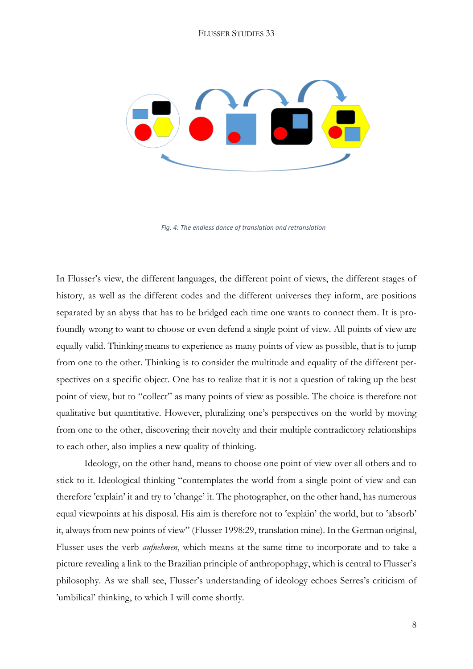

In Flusser's view, the different languages, the different point of views, the different stages of history, as well as the different codes and the different universes they inform, are positions separated by an abyss that has to be bridged each time one wants to connect them. It is profoundly wrong to want to choose or even defend a single point of view. All points of view are equally valid. Thinking means to experience as many points of view as possible, that is to jump from one to the other. Thinking is to consider the multitude and equality of the different perspectives on a specific object. One has to realize that it is not a question of taking up the best point of view, but to "collect" as many points of view as possible. The choice is therefore not qualitative but quantitative. However, pluralizing one's perspectives on the world by moving from one to the other, discovering their novelty and their multiple contradictory relationships to each other, also implies a new quality of thinking.

Ideology, on the other hand, means to choose one point of view over all others and to stick to it. Ideological thinking "contemplates the world from a single point of view and can therefore 'explain' it and try to 'change' it. The photographer, on the other hand, has numerous equal viewpoints at his disposal. His aim is therefore not to 'explain' the world, but to 'absorb' it, always from new points of view" (Flusser 1998:29, translation mine). In the German original, Flusser uses the verb *aufnehmen*, which means at the same time to incorporate and to take a picture revealing a link to the Brazilian principle of anthropophagy, which is central to Flusser's philosophy. As we shall see, Flusser's understanding of ideology echoes Serres's criticism of 'umbilical' thinking, to which I will come shortly.

*Fig. 4: The endless dance of translation and retranslation*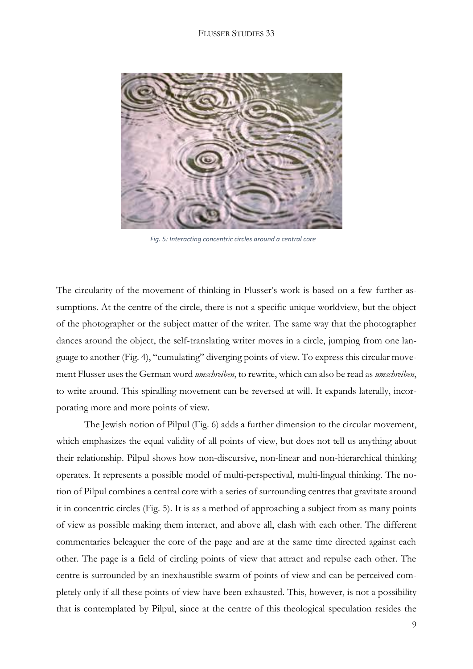

 *Fig. 5: Interacting concentric circles around a central core*

The circularity of the movement of thinking in Flusser's work is based on a few further assumptions. At the centre of the circle, there is not a specific unique worldview, but the object of the photographer or the subject matter of the writer. The same way that the photographer dances around the object, the self-translating writer moves in a circle, jumping from one language to another (Fig. 4), "cumulating" diverging points of view. To express this circular movement Flusser uses the German word *umschreiben*, to rewrite, which can also be read as *umschreiben*, to write around. This spiralling movement can be reversed at will. It expands laterally, incorporating more and more points of view.

The Jewish notion of Pilpul (Fig. 6) adds a further dimension to the circular movement, which emphasizes the equal validity of all points of view, but does not tell us anything about their relationship. Pilpul shows how non-discursive, non-linear and non-hierarchical thinking operates. It represents a possible model of multi-perspectival, multi-lingual thinking. The notion of Pilpul combines a central core with a series of surrounding centres that gravitate around it in concentric circles (Fig. 5). It is as a method of approaching a subject from as many points of view as possible making them interact, and above all, clash with each other. The different commentaries beleaguer the core of the page and are at the same time directed against each other. The page is a field of circling points of view that attract and repulse each other. The centre is surrounded by an inexhaustible swarm of points of view and can be perceived completely only if all these points of view have been exhausted. This, however, is not a possibility that is contemplated by Pilpul, since at the centre of this theological speculation resides the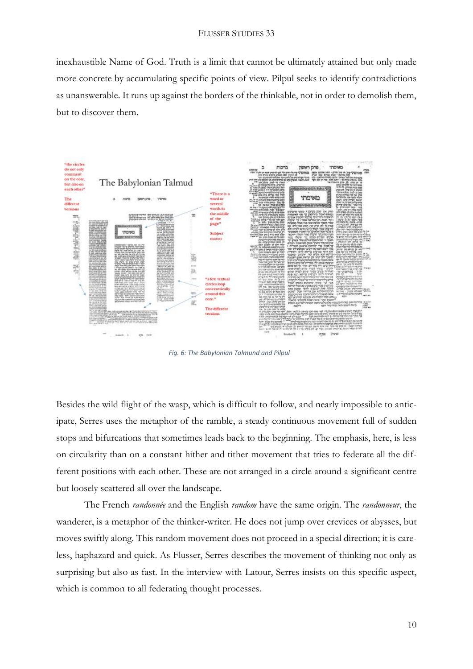inexhaustible Name of God. Truth is a limit that cannot be ultimately attained but only made more concrete by accumulating specific points of view. Pilpul seeks to identify contradictions as unanswerable. It runs up against the borders of the thinkable, not in order to demolish them, but to discover them.



*Fig. 6: The Babylonian Talmund and Pilpul*

Besides the wild flight of the wasp, which is difficult to follow, and nearly impossible to anticipate, Serres uses the metaphor of the ramble, a steady continuous movement full of sudden stops and bifurcations that sometimes leads back to the beginning. The emphasis, here, is less on circularity than on a constant hither and tither movement that tries to federate all the different positions with each other. These are not arranged in a circle around a significant centre but loosely scattered all over the landscape.

The French *randonnée* and the English *random* have the same origin. The *randonneur*, the wanderer, is a metaphor of the thinker-writer. He does not jump over crevices or abysses, but moves swiftly along. This random movement does not proceed in a special direction; it is careless, haphazard and quick. As Flusser, Serres describes the movement of thinking not only as surprising but also as fast. In the interview with Latour, Serres insists on this specific aspect, which is common to all federating thought processes.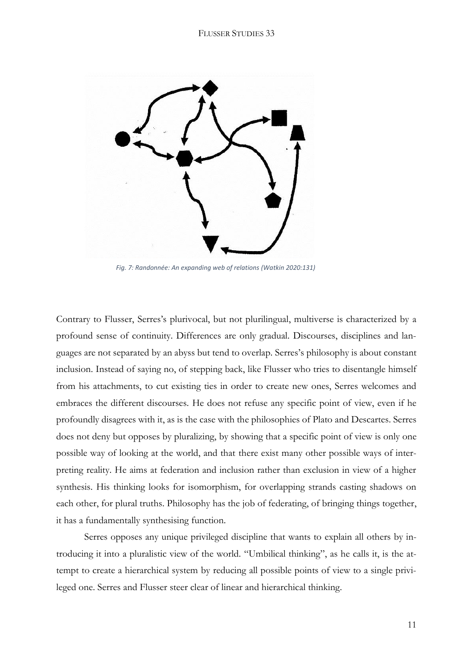

 *Fig. 7: Randonnée: An expanding web of relations (Watkin 2020:131)*

Contrary to Flusser, Serres's plurivocal, but not plurilingual, multiverse is characterized by a profound sense of continuity. Differences are only gradual. Discourses, disciplines and languages are not separated by an abyss but tend to overlap. Serres's philosophy is about constant inclusion. Instead of saying no, of stepping back, like Flusser who tries to disentangle himself from his attachments, to cut existing ties in order to create new ones, Serres welcomes and embraces the different discourses. He does not refuse any specific point of view, even if he profoundly disagrees with it, as is the case with the philosophies of Plato and Descartes. Serres does not deny but opposes by pluralizing, by showing that a specific point of view is only one possible way of looking at the world, and that there exist many other possible ways of interpreting reality. He aims at federation and inclusion rather than exclusion in view of a higher synthesis. His thinking looks for isomorphism, for overlapping strands casting shadows on each other, for plural truths. Philosophy has the job of federating, of bringing things together, it has a fundamentally synthesising function.

Serres opposes any unique privileged discipline that wants to explain all others by introducing it into a pluralistic view of the world. "Umbilical thinking", as he calls it, is the attempt to create a hierarchical system by reducing all possible points of view to a single privileged one. Serres and Flusser steer clear of linear and hierarchical thinking.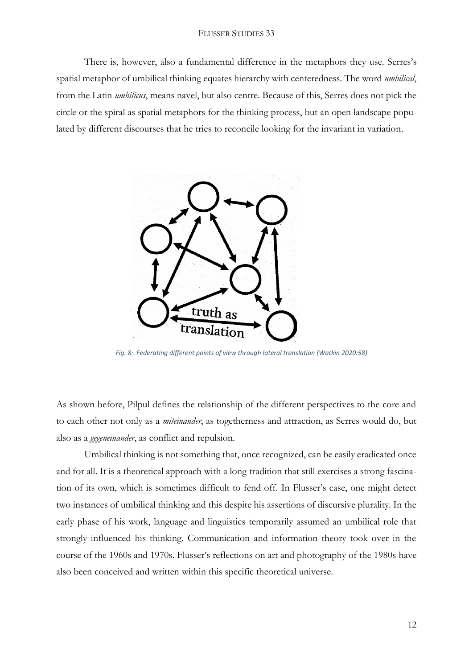There is, however, also a fundamental difference in the metaphors they use. Serres's spatial metaphor of umbilical thinking equates hierarchy with centeredness. The word *umbilical*, from the Latin *umbilicus*, means navel, but also centre. Because of this, Serres does not pick the circle or the spiral as spatial metaphors for the thinking process, but an open landscape populated by different discourses that he tries to reconcile looking for the invariant in variation.



 *Fig. 8: Federating different points of view through lateral translation (Watkin 2020:58)*

As shown before, Pilpul defines the relationship of the different perspectives to the core and to each other not only as a *miteinander*, as togetherness and attraction, as Serres would do, but also as a *gegeneinander*, as conflict and repulsion.

Umbilical thinking is not something that, once recognized, can be easily eradicated once and for all. It is a theoretical approach with a long tradition that still exercises a strong fascination of its own, which is sometimes difficult to fend off. In Flusser's case, one might detect two instances of umbilical thinking and this despite his assertions of discursive plurality. In the early phase of his work, language and linguistics temporarily assumed an umbilical role that strongly influenced his thinking. Communication and information theory took over in the course of the 1960s and 1970s. Flusser's reflections on art and photography of the 1980s have also been conceived and written within this specific theoretical universe.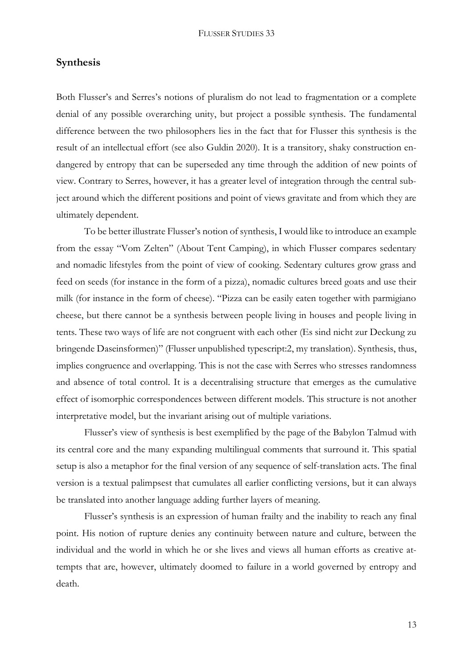## **Synthesis**

Both Flusser's and Serres's notions of pluralism do not lead to fragmentation or a complete denial of any possible overarching unity, but project a possible synthesis. The fundamental difference between the two philosophers lies in the fact that for Flusser this synthesis is the result of an intellectual effort (see also Guldin 2020). It is a transitory, shaky construction endangered by entropy that can be superseded any time through the addition of new points of view. Contrary to Serres, however, it has a greater level of integration through the central subject around which the different positions and point of views gravitate and from which they are ultimately dependent.

To be better illustrate Flusser's notion of synthesis, I would like to introduce an example from the essay "Vom Zelten" (About Tent Camping), in which Flusser compares sedentary and nomadic lifestyles from the point of view of cooking. Sedentary cultures grow grass and feed on seeds (for instance in the form of a pizza), nomadic cultures breed goats and use their milk (for instance in the form of cheese). "Pizza can be easily eaten together with parmigiano cheese, but there cannot be a synthesis between people living in houses and people living in tents. These two ways of life are not congruent with each other (Es sind nicht zur Deckung zu bringende Daseinsformen)" (Flusser unpublished typescript:2, my translation). Synthesis, thus, implies congruence and overlapping. This is not the case with Serres who stresses randomness and absence of total control. It is a decentralising structure that emerges as the cumulative effect of isomorphic correspondences between different models. This structure is not another interpretative model, but the invariant arising out of multiple variations.

Flusser's view of synthesis is best exemplified by the page of the Babylon Talmud with its central core and the many expanding multilingual comments that surround it. This spatial setup is also a metaphor for the final version of any sequence of self-translation acts. The final version is a textual palimpsest that cumulates all earlier conflicting versions, but it can always be translated into another language adding further layers of meaning.

Flusser's synthesis is an expression of human frailty and the inability to reach any final point. His notion of rupture denies any continuity between nature and culture, between the individual and the world in which he or she lives and views all human efforts as creative attempts that are, however, ultimately doomed to failure in a world governed by entropy and death.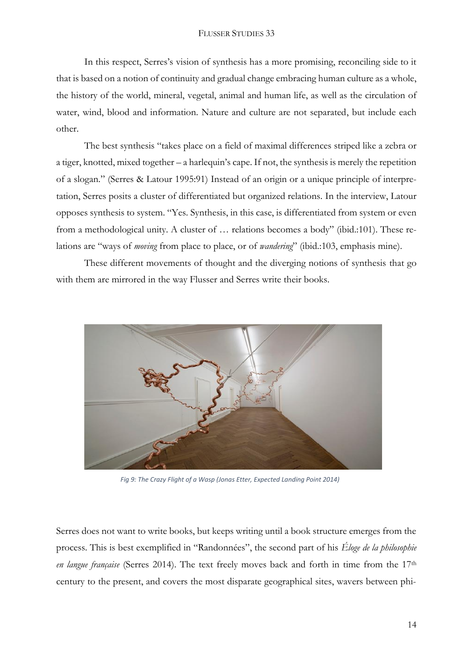In this respect, Serres's vision of synthesis has a more promising, reconciling side to it that is based on a notion of continuity and gradual change embracing human culture as a whole, the history of the world, mineral, vegetal, animal and human life, as well as the circulation of water, wind, blood and information. Nature and culture are not separated, but include each other.

The best synthesis "takes place on a field of maximal differences striped like a zebra or a tiger, knotted, mixed together – a harlequin's cape. If not, the synthesis is merely the repetition of a slogan." (Serres & Latour 1995:91) Instead of an origin or a unique principle of interpretation, Serres posits a cluster of differentiated but organized relations. In the interview, Latour opposes synthesis to system. "Yes. Synthesis, in this case, is differentiated from system or even from a methodological unity. A cluster of … relations becomes a body" (ibid.:101). These relations are "ways of *moving* from place to place, or of *wandering*" (ibid.:103, emphasis mine).

These different movements of thought and the diverging notions of synthesis that go with them are mirrored in the way Flusser and Serres write their books.



 *Fig 9: The Crazy Flight of a Wasp (Jonas Etter, Expected Landing Point 2014)*

Serres does not want to write books, but keeps writing until a book structure emerges from the process. This is best exemplified in "Randonnées", the second part of his *Éloge de la philosophie en langue française* (Serres 2014). The text freely moves back and forth in time from the 17th century to the present, and covers the most disparate geographical sites, wavers between phi-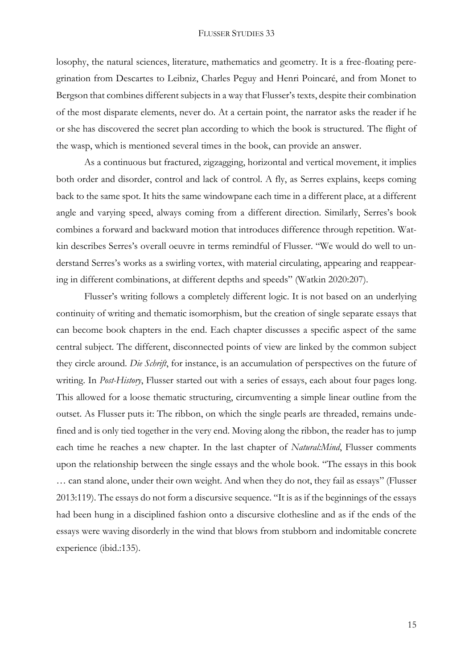losophy, the natural sciences, literature, mathematics and geometry. It is a free-floating peregrination from Descartes to Leibniz, Charles Peguy and Henri Poincaré, and from Monet to Bergson that combines different subjects in a way that Flusser's texts, despite their combination of the most disparate elements, never do. At a certain point, the narrator asks the reader if he or she has discovered the secret plan according to which the book is structured. The flight of the wasp, which is mentioned several times in the book, can provide an answer.

As a continuous but fractured, zigzagging, horizontal and vertical movement, it implies both order and disorder, control and lack of control. A fly, as Serres explains, keeps coming back to the same spot. It hits the same windowpane each time in a different place, at a different angle and varying speed, always coming from a different direction. Similarly, Serres's book combines a forward and backward motion that introduces difference through repetition. Watkin describes Serres's overall oeuvre in terms remindful of Flusser. "We would do well to understand Serres's works as a swirling vortex, with material circulating, appearing and reappearing in different combinations, at different depths and speeds" (Watkin 2020:207).

Flusser's writing follows a completely different logic. It is not based on an underlying continuity of writing and thematic isomorphism, but the creation of single separate essays that can become book chapters in the end. Each chapter discusses a specific aspect of the same central subject. The different, disconnected points of view are linked by the common subject they circle around. *Die Schrift*, for instance, is an accumulation of perspectives on the future of writing. In *Post-History*, Flusser started out with a series of essays, each about four pages long. This allowed for a loose thematic structuring, circumventing a simple linear outline from the outset. As Flusser puts it: The ribbon, on which the single pearls are threaded, remains undefined and is only tied together in the very end. Moving along the ribbon, the reader has to jump each time he reaches a new chapter. In the last chapter of *Natural:Mind*, Flusser comments upon the relationship between the single essays and the whole book. "The essays in this book … can stand alone, under their own weight. And when they do not, they fail as essays" (Flusser 2013:119). The essays do not form a discursive sequence. "It is as if the beginnings of the essays had been hung in a disciplined fashion onto a discursive clothesline and as if the ends of the essays were waving disorderly in the wind that blows from stubborn and indomitable concrete experience (ibid.:135).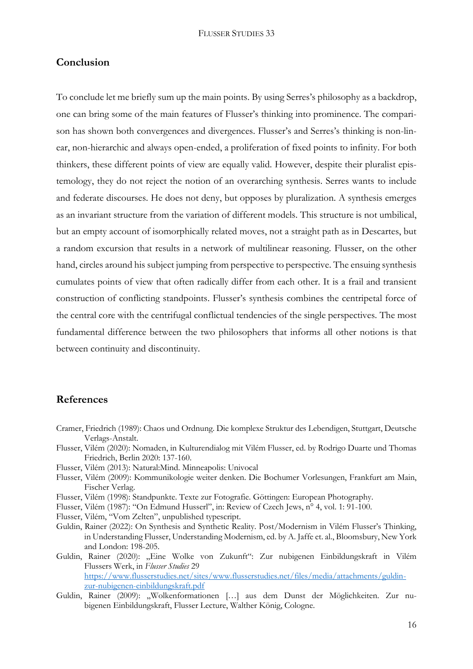## **Conclusion**

To conclude let me briefly sum up the main points. By using Serres's philosophy as a backdrop, one can bring some of the main features of Flusser's thinking into prominence. The comparison has shown both convergences and divergences. Flusser's and Serres's thinking is non-linear, non-hierarchic and always open-ended, a proliferation of fixed points to infinity. For both thinkers, these different points of view are equally valid. However, despite their pluralist epistemology, they do not reject the notion of an overarching synthesis. Serres wants to include and federate discourses. He does not deny, but opposes by pluralization. A synthesis emerges as an invariant structure from the variation of different models. This structure is not umbilical, but an empty account of isomorphically related moves, not a straight path as in Descartes, but a random excursion that results in a network of multilinear reasoning. Flusser, on the other hand, circles around his subject jumping from perspective to perspective. The ensuing synthesis cumulates points of view that often radically differ from each other. It is a frail and transient construction of conflicting standpoints. Flusser's synthesis combines the centripetal force of the central core with the centrifugal conflictual tendencies of the single perspectives. The most fundamental difference between the two philosophers that informs all other notions is that between continuity and discontinuity.

## **References**

- Cramer, Friedrich (1989): Chaos und Ordnung. Die komplexe Struktur des Lebendigen, Stuttgart, Deutsche Verlags-Anstalt.
- Flusser, Vilém (2020): Nomaden, in Kulturendialog mit Vilém Flusser, ed. by Rodrigo Duarte und Thomas Friedrich, Berlin 2020: 137-160.
- Flusser, Vilém (2013): Natural:Mind. Minneapolis: Univocal
- Flusser, Vilém (2009): Kommunikologie weiter denken. Die Bochumer Vorlesungen, Frankfurt am Main, Fischer Verlag.
- Flusser, Vilém (1998): Standpunkte. Texte zur Fotografie. Göttingen: European Photography.
- Flusser, Vilém (1987): "On Edmund Husserl", in: Review of Czech Jews, n° 4, vol. 1: 91-100.
- Flusser, Vilém, "Vom Zelten", unpublished typescript.
- Guldin, Rainer (2022): On Synthesis and Synthetic Reality. Post/Modernism in Vilém Flusser's Thinking, in Understanding Flusser, Understanding Modernism, ed. by A. Jaffe et. al., Bloomsbury, New York and London: 198-205.
- Guldin, Rainer (2020): "Eine Wolke von Zukunft": Zur nubigenen Einbildungskraft in Vilém Flussers Werk, in *Flusser Studies* 29 [https://www.flusserstudies.net/sites/www.flusserstudies.net/files/media/attachments/guldin](https://www.flusserstudies.net/sites/www.flusserstudies.net/files/media/attachments/guldin-zur-nubigenen-einbildungskraft.pdf)[zur-nubigenen-einbildungskraft.pdf](https://www.flusserstudies.net/sites/www.flusserstudies.net/files/media/attachments/guldin-zur-nubigenen-einbildungskraft.pdf)
- Guldin, Rainer (2009): "Wolkenformationen […] aus dem Dunst der Möglichkeiten. Zur nubigenen Einbildungskraft, Flusser Lecture, Walther König, Cologne.